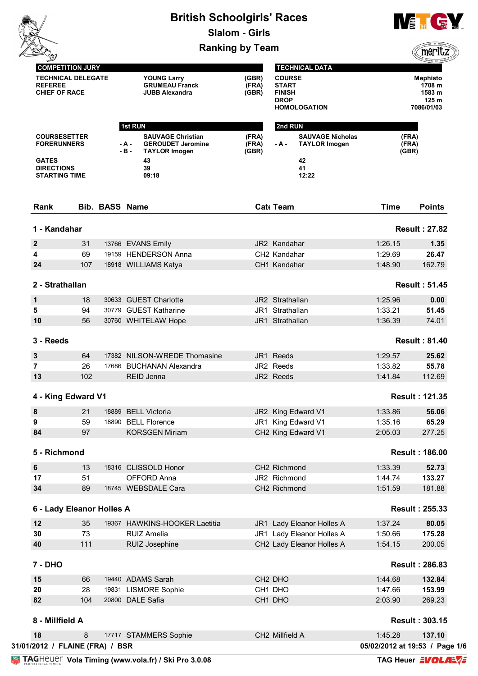|                                                                                                        |     | <b>British Schoolgirls' Races</b><br><b>Slalom - Girls</b> |                                                                                                                      | <b>VE</b> THE CE YOU    |                                                                               |                         |                                                  |  |
|--------------------------------------------------------------------------------------------------------|-----|------------------------------------------------------------|----------------------------------------------------------------------------------------------------------------------|-------------------------|-------------------------------------------------------------------------------|-------------------------|--------------------------------------------------|--|
|                                                                                                        |     |                                                            | <b>Ranking by Team</b>                                                                                               |                         |                                                                               | merit                   |                                                  |  |
| <b>COMPETITION JURY</b><br><b>TECHNICAL DELEGATE</b>                                                   |     |                                                            |                                                                                                                      |                         | <b>TECHNICAL DATA</b><br><b>COURSE</b>                                        |                         |                                                  |  |
| <b>REFEREE</b><br><b>CHIEF OF RACE</b>                                                                 |     |                                                            | <b>YOUNG Larry</b><br><b>GRUMEAU Franck</b><br><b>JUBB Alexandra</b>                                                 | (GBR)<br>(FRA)<br>(GBR) | <b>START</b><br><b>FINISH</b><br><b>DROP</b><br><b>HOMOLOGATION</b>           | 7086/01/03              | Mephisto<br>1708 m<br>1583 m<br>125 <sub>m</sub> |  |
|                                                                                                        |     |                                                            | <b>1st RUN</b>                                                                                                       |                         | 2nd RUN                                                                       |                         |                                                  |  |
| <b>COURSESETTER</b><br><b>FORERUNNERS</b><br><b>GATES</b><br><b>DIRECTIONS</b><br><b>STARTING TIME</b> |     |                                                            | <b>SAUVAGE Christian</b><br><b>GEROUDET Jeromine</b><br>- A -<br>$-B -$<br><b>TAYLOR Imogen</b><br>43<br>39<br>09:18 | (FRA)<br>(FRA)<br>(GBR) | <b>SAUVAGE Nicholas</b><br>- A -<br><b>TAYLOR Imogen</b><br>42<br>41<br>12:22 | (FRA)<br>(FRA)<br>(GBR) |                                                  |  |
| Rank                                                                                                   |     | <b>Bib. BASS Name</b>                                      |                                                                                                                      |                         | <b>Cat</b> Team                                                               | <b>Time</b>             | <b>Points</b>                                    |  |
| 1 - Kandahar                                                                                           |     |                                                            |                                                                                                                      |                         |                                                                               | <b>Result: 27.82</b>    |                                                  |  |
| $\boldsymbol{2}$                                                                                       | 31  |                                                            | 13766 EVANS Emily                                                                                                    |                         | JR2 Kandahar                                                                  | 1:26.15                 | 1.35                                             |  |
| 4                                                                                                      | 69  |                                                            | 19159 HENDERSON Anna                                                                                                 |                         | CH2 Kandahar                                                                  | 1:29.69                 | 26.47                                            |  |
| 24                                                                                                     | 107 |                                                            | 18918 WILLIAMS Katya                                                                                                 |                         | CH1 Kandahar                                                                  | 1:48.90                 | 162.79                                           |  |
| 2 - Strathallan                                                                                        |     |                                                            |                                                                                                                      |                         |                                                                               | <b>Result: 51.45</b>    |                                                  |  |
| 1                                                                                                      | 18  |                                                            | 30633 GUEST Charlotte                                                                                                |                         | JR2 Strathallan                                                               | 1:25.96                 | 0.00                                             |  |
| 5                                                                                                      | 94  |                                                            | 30779 GUEST Katharine                                                                                                |                         | JR1 Strathallan                                                               | 1:33.21                 | 51.45                                            |  |
| 10                                                                                                     | 56  |                                                            | 30760 WHITELAW Hope                                                                                                  |                         | JR1 Strathallan                                                               | 1:36.39                 | 74.01                                            |  |
| 3 - Reeds                                                                                              |     |                                                            |                                                                                                                      |                         |                                                                               | <b>Result: 81.40</b>    |                                                  |  |
| 3                                                                                                      | 64  |                                                            | 17382 NILSON-WREDE Thomasine                                                                                         |                         | JR1 Reeds                                                                     | 1:29.57                 | 25.62                                            |  |
| 7                                                                                                      | 26  |                                                            | 17686 BUCHANAN Alexandra                                                                                             |                         | JR2 Reeds                                                                     | 1:33.82                 | 55.78                                            |  |
| 13                                                                                                     | 102 |                                                            | REID Jenna                                                                                                           |                         | JR2 Reeds                                                                     | 1:41.84                 | 112.69                                           |  |
| 4 - King Edward V1                                                                                     |     |                                                            |                                                                                                                      |                         |                                                                               | <b>Result: 121.35</b>   |                                                  |  |
| $\pmb{8}$                                                                                              | 21  |                                                            | 18889 BELL Victoria                                                                                                  |                         | JR2 King Edward V1                                                            | 1:33.86                 | 56.06                                            |  |
| 9                                                                                                      | 59  |                                                            | 18890 BELL Florence                                                                                                  |                         | JR1 King Edward V1                                                            | 1:35.16                 | 65.29                                            |  |
| 84                                                                                                     | 97  |                                                            | <b>KORSGEN Miriam</b>                                                                                                |                         | CH2 King Edward V1                                                            | 2:05.03                 | 277.25                                           |  |
| 5 - Richmond                                                                                           |     |                                                            |                                                                                                                      |                         |                                                                               | <b>Result: 186.00</b>   |                                                  |  |
| $\bf 6$                                                                                                | 13  |                                                            | 18316 CLISSOLD Honor                                                                                                 |                         | CH2 Richmond                                                                  | 1:33.39                 | 52.73                                            |  |
| 17                                                                                                     | 51  |                                                            | <b>OFFORD Anna</b>                                                                                                   |                         | JR2 Richmond                                                                  | 1:44.74                 | 133.27                                           |  |
| 34                                                                                                     | 89  |                                                            | 18745 WEBSDALE Cara                                                                                                  |                         | CH2 Richmond                                                                  | 1:51.59                 | 181.88                                           |  |
| 6 - Lady Eleanor Holles A                                                                              |     |                                                            |                                                                                                                      |                         |                                                                               | <b>Result: 255.33</b>   |                                                  |  |
| 12                                                                                                     | 35  |                                                            | 19367 HAWKINS-HOOKER Laetitia                                                                                        |                         | JR1 Lady Eleanor Holles A                                                     | 1:37.24                 | 80.05                                            |  |
| 30                                                                                                     | 73  |                                                            | <b>RUIZ Amelia</b>                                                                                                   |                         | JR1 Lady Eleanor Holles A                                                     | 1:50.66                 | 175.28                                           |  |
| 40                                                                                                     | 111 |                                                            | RUIZ Josephine                                                                                                       |                         | CH2 Lady Eleanor Holles A                                                     | 1:54.15                 | 200.05                                           |  |
| 7 - DHO                                                                                                |     |                                                            |                                                                                                                      |                         |                                                                               | <b>Result: 286.83</b>   |                                                  |  |
| 15                                                                                                     | 66  |                                                            | 19440 ADAMS Sarah                                                                                                    |                         | CH <sub>2</sub> DHO                                                           | 1:44.68                 | 132.84                                           |  |
| 20                                                                                                     | 28  |                                                            | 19831 LISMORE Sophie                                                                                                 |                         | CH1 DHO                                                                       | 1:47.66                 | 153.99                                           |  |
| 82                                                                                                     | 104 |                                                            | 20800 DALE Safia                                                                                                     |                         | CH1 DHO                                                                       | 2:03.90                 | 269.23                                           |  |
| 8 - Millfield A                                                                                        |     |                                                            |                                                                                                                      |                         |                                                                               | <b>Result: 303.15</b>   |                                                  |  |
|                                                                                                        |     |                                                            | 17717 STAMMERS Sophie                                                                                                |                         | CH2 Millfield A                                                               | 1:45.28                 | 137.10                                           |  |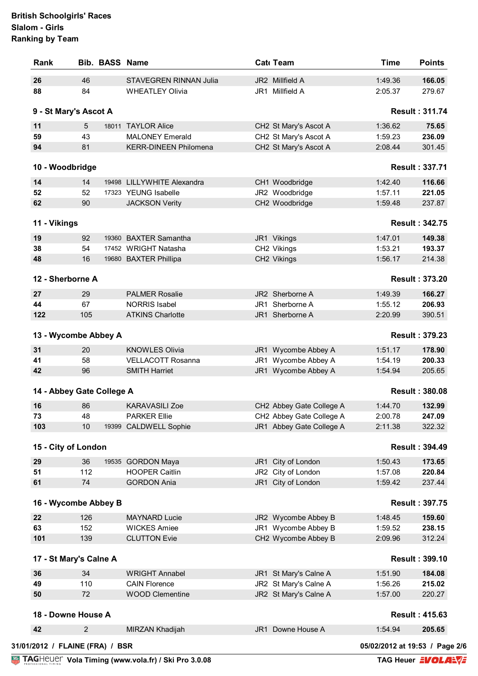| 26                                                            |                | <b>Bib. BASS Name</b>         | Cat Team                 | <b>Time</b> | <b>Points</b>         |
|---------------------------------------------------------------|----------------|-------------------------------|--------------------------|-------------|-----------------------|
|                                                               | 46             | <b>STAVEGREN RINNAN Julia</b> | JR2 Millfield A          | 1:49.36     | 166.05                |
| 88                                                            | 84             | <b>WHEATLEY Olivia</b>        | JR1 Millfield A          | 2:05.37     | 279.67                |
| 9 - St Mary's Ascot A                                         |                |                               |                          |             | <b>Result: 311.74</b> |
| 11                                                            | 5              | 18011 TAYLOR Alice            | CH2 St Mary's Ascot A    | 1:36.62     | 75.65                 |
| 59                                                            | 43             | <b>MALONEY Emerald</b>        | CH2 St Mary's Ascot A    | 1:59.23     | 236.09                |
| 94                                                            | 81             | <b>KERR-DINEEN Philomena</b>  | CH2 St Mary's Ascot A    | 2:08.44     | 301.45                |
| 10 - Woodbridge                                               |                |                               |                          |             | <b>Result: 337.71</b> |
| 14                                                            | 14             | 19498 LILLYWHITE Alexandra    | CH1 Woodbridge           | 1:42.40     | 116.66                |
| 52                                                            | 52             | 17323 YEUNG Isabelle          | JR2 Woodbridge           | 1:57.11     | 221.05                |
| 62                                                            | 90             | <b>JACKSON Verity</b>         | CH2 Woodbridge           | 1:59.48     | 237.87                |
|                                                               |                |                               |                          |             |                       |
| 11 - Vikings                                                  |                |                               |                          |             | <b>Result: 342.75</b> |
| 19                                                            | 92             | 19360 BAXTER Samantha         | JR1 Vikings              | 1:47.01     | 149.38                |
| 38                                                            | 54             | 17452 WRIGHT Natasha          | CH2 Vikings              | 1:53.21     | 193.37                |
| 48                                                            | 16             | 19680 BAXTER Phillipa         | CH2 Vikings              | 1:56.17     | 214.38                |
|                                                               |                |                               |                          |             |                       |
| 12 - Sherborne A                                              |                |                               |                          |             | <b>Result: 373.20</b> |
| 27                                                            | 29             | <b>PALMER Rosalie</b>         | JR2 Sherborne A          | 1:49.39     | 166.27                |
| 44                                                            | 67             | <b>NORRIS Isabel</b>          | JR1 Sherborne A          | 1:55.12     | 206.93                |
| 122                                                           | 105            | <b>ATKINS Charlotte</b>       | JR1 Sherborne A          | 2:20.99     | 390.51                |
| 13 - Wycombe Abbey A                                          |                |                               |                          |             | <b>Result: 379.23</b> |
| 31                                                            | 20             | <b>KNOWLES Olivia</b>         | JR1 Wycombe Abbey A      | 1:51.17     | 178.90                |
| 41                                                            | 58             | <b>VELLACOTT Rosanna</b>      | JR1 Wycombe Abbey A      | 1:54.19     | 200.33                |
| 42                                                            | 96             | <b>SMITH Harriet</b>          | JR1 Wycombe Abbey A      | 1:54.94     | 205.65                |
| 14 - Abbey Gate College A                                     |                |                               |                          |             | <b>Result: 380.08</b> |
| 16                                                            | 86             | <b>KARAVASILI Zoe</b>         | CH2 Abbey Gate College A | 1:44.70     | 132.99                |
| 73                                                            | 48             | <b>PARKER Ellie</b>           | CH2 Abbey Gate College A | 2:00.78     | 247.09                |
| 103                                                           | 10             | 19399 CALDWELL Sophie         | JR1 Abbey Gate College A | 2:11.38     | 322.32                |
|                                                               |                |                               |                          |             |                       |
|                                                               |                |                               |                          |             |                       |
|                                                               |                |                               |                          |             | <b>Result: 394.49</b> |
|                                                               | 36             | 19535 GORDON Maya             | JR1 City of London       | 1:50.43     | 173.65                |
|                                                               | 112            | <b>HOOPER Caitlin</b>         | JR2 City of London       | 1:57.08     | 220.84                |
|                                                               | 74             | <b>GORDON Ania</b>            | JR1 City of London       | 1:59.42     | 237.44                |
|                                                               |                |                               |                          |             | <b>Result: 397.75</b> |
| 15 - City of London<br>29<br>51<br>61<br>16 - Wycombe Abbey B |                |                               |                          |             |                       |
| 22                                                            | 126            | <b>MAYNARD Lucie</b>          | JR2 Wycombe Abbey B      | 1:48.45     | 159.60                |
| 63                                                            | 152            | <b>WICKES Amiee</b>           | JR1 Wycombe Abbey B      | 1:59.52     | 238.15                |
|                                                               | 139            | <b>CLUTTON Evie</b>           | CH2 Wycombe Abbey B      | 2:09.96     | 312.24                |
|                                                               |                |                               |                          |             | <b>Result: 399.10</b> |
| 101<br>17 - St Mary's Calne A<br>36                           | 34             | <b>WRIGHT Annabel</b>         | JR1 St Mary's Calne A    | 1:51.90     | 184.08                |
|                                                               | 110            | <b>CAIN Florence</b>          | JR2 St Mary's Calne A    | 1:56.26     | 215.02                |
| 49<br>50                                                      | 72             | <b>WOOD Clementine</b>        | JR2 St Mary's Calne A    | 1:57.00     | 220.27                |
| 18 - Downe House A                                            |                |                               |                          |             | <b>Result: 415.63</b> |
| 42                                                            | $\overline{c}$ | MIRZAN Khadijah               | JR1 Downe House A        | 1:54.94     | 205.65                |

**Vola Timing (www.vola.fr) / Ski Pro 3.0.08**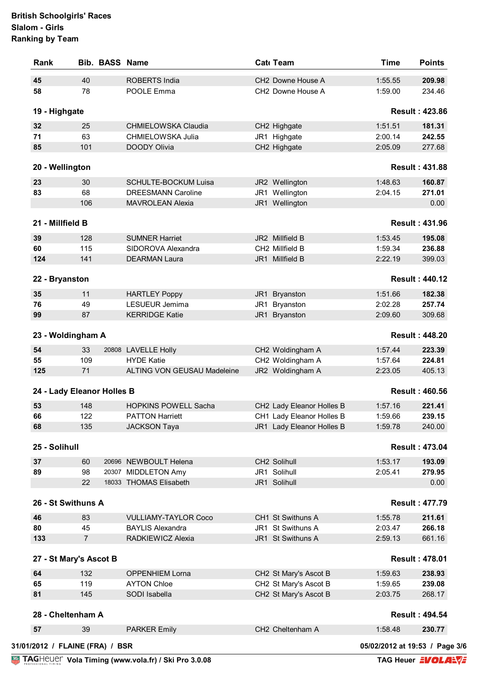| Rank                            |                | <b>Bib. BASS Name</b> |                             | Cat Team                      | <b>Time</b>                    | <b>Points</b>         |
|---------------------------------|----------------|-----------------------|-----------------------------|-------------------------------|--------------------------------|-----------------------|
| 45                              | 40             |                       | <b>ROBERTS India</b>        | CH <sub>2</sub> Downe House A | 1:55.55                        | 209.98                |
| 58                              | 78             |                       | POOLE Emma                  | CH2 Downe House A             | 1:59.00                        | 234.46                |
| 19 - Highgate                   |                |                       |                             |                               |                                | <b>Result: 423.86</b> |
| 32                              | 25             |                       | CHMIELOWSKA Claudia         | CH2 Highgate                  | 1:51.51                        | 181.31                |
| 71                              | 63             |                       | CHMIELOWSKA Julia           | JR1 Highgate                  | 2:00.14                        | 242.55                |
| 85                              | 101            |                       | <b>DOODY Olivia</b>         | CH2 Highgate                  | 2:05.09                        | 277.68                |
| 20 - Wellington                 |                |                       |                             |                               |                                | <b>Result: 431.88</b> |
| 23                              | 30             |                       | SCHULTE-BOCKUM Luisa        | JR2 Wellington                | 1:48.63                        | 160.87                |
| 83                              | 68             |                       | <b>DREESMANN Caroline</b>   | JR1 Wellington                | 2:04.15                        | 271.01                |
|                                 | 106            |                       | <b>MAVROLEAN Alexia</b>     | JR1 Wellington                |                                | 0.00                  |
|                                 |                |                       |                             |                               |                                |                       |
| 21 - Millfield B                |                |                       |                             |                               |                                | <b>Result: 431.96</b> |
| 39                              | 128            |                       | <b>SUMNER Harriet</b>       | JR2 Millfield B               | 1:53.45                        | 195.08                |
| 60                              | 115            |                       | SIDOROVA Alexandra          | CH2 Millfield B               | 1:59.34                        | 236.88                |
| 124                             | 141            |                       | <b>DEARMAN Laura</b>        | JR1 Millfield B               | 2:22.19                        | 399.03                |
|                                 |                |                       |                             |                               |                                |                       |
| 22 - Bryanston                  |                |                       |                             |                               |                                | <b>Result: 440.12</b> |
| 35                              | 11             |                       | <b>HARTLEY Poppy</b>        | JR1 Bryanston                 | 1:51.66                        | 182.38                |
| 76                              | 49             |                       | LESUEUR Jemima              | JR1 Bryanston                 | 2:02.28                        | 257.74                |
| 99                              | 87             |                       | <b>KERRIDGE Katie</b>       | JR1 Bryanston                 | 2:09.60                        | 309.68                |
| 23 - Woldingham A               |                |                       |                             |                               |                                | <b>Result: 448.20</b> |
| 54                              | 33             |                       | 20808 LAVELLE Holly         | CH2 Woldingham A              | 1:57.44                        | 223.39                |
| 55                              | 109            |                       | <b>HYDE Katie</b>           | CH2 Woldingham A              | 1:57.64                        | 224.81                |
| 125                             | 71             |                       | ALTING VON GEUSAU Madeleine | JR2 Woldingham A              | 2:23.05                        | 405.13                |
| 24 - Lady Eleanor Holles B      |                |                       |                             |                               |                                | <b>Result: 460.56</b> |
| 53                              | 148            |                       | <b>HOPKINS POWELL Sacha</b> | CH2 Lady Eleanor Holles B     | 1:57.16                        | 221.41                |
| 66                              | 122            |                       | <b>PATTON Harriett</b>      | CH1 Lady Eleanor Holles B     | 1:59.66                        | 239.15                |
| 68                              | 135            |                       | <b>JACKSON Taya</b>         | JR1 Lady Eleanor Holles B     | 1:59.78                        | 240.00                |
|                                 |                |                       |                             |                               |                                |                       |
| 25 - Solihull                   |                |                       |                             |                               |                                | <b>Result: 473.04</b> |
| 37                              | 60             |                       | 20696 NEWBOULT Helena       | CH2 Solihull                  | 1:53.17                        | 193.09                |
| 89                              | 98             |                       | 20307 MIDDLETON Amy         | JR1 Solihull                  | 2:05.41                        | 279.95                |
|                                 | 22             |                       | 18033 THOMAS Elisabeth      | JR1 Solihull                  |                                | 0.00                  |
| 26 - St Swithuns A              |                |                       |                             |                               |                                | <b>Result: 477.79</b> |
|                                 |                |                       |                             |                               |                                |                       |
| 46                              | 83             |                       | <b>VULLIAMY-TAYLOR Coco</b> | CH1 St Swithuns A             | 1:55.78                        | 211.61                |
| 80                              | 45             |                       | <b>BAYLIS Alexandra</b>     | JR1 St Swithuns A             | 2:03.47                        | 266.18                |
| 133                             | $\overline{7}$ |                       | RADKIEWICZ Alexia           | JR1 St Swithuns A             | 2:59.13                        | 661.16                |
| 27 - St Mary's Ascot B          |                |                       |                             |                               |                                | <b>Result: 478.01</b> |
| 64                              | 132            |                       | <b>OPPENHIEM Lorna</b>      | CH2 St Mary's Ascot B         | 1:59.63                        | 238.93                |
| 65                              | 119            |                       | <b>AYTON Chloe</b>          | CH2 St Mary's Ascot B         | 1:59.65                        | 239.08                |
| 81                              | 145            |                       | SODI Isabella               | CH2 St Mary's Ascot B         | 2:03.75                        | 268.17                |
| 28 - Cheltenham A               |                |                       |                             |                               |                                | <b>Result: 494.54</b> |
| 57                              | 39             |                       | <b>PARKER Emily</b>         | CH2 Cheltenham A              | 1:58.48                        | 230.77                |
|                                 |                |                       |                             |                               |                                |                       |
| 31/01/2012 / FLAINE (FRA) / BSR |                |                       |                             |                               | 05/02/2012 at 19:53 / Page 3/6 |                       |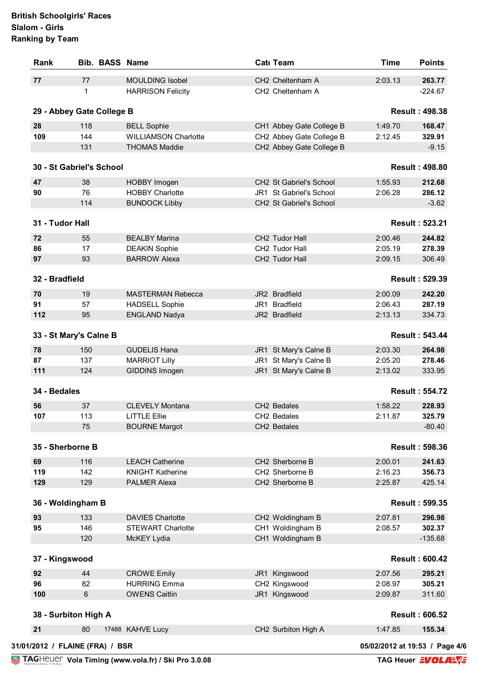| Rank             | <b>Bib. BASS Name</b>           |                             | Cat Team                 | <b>Time</b>                    | <b>Points</b>         |
|------------------|---------------------------------|-----------------------------|--------------------------|--------------------------------|-----------------------|
| 77               | 77                              | <b>MOULDING Isobel</b>      | CH2 Cheltenham A         | 2:03.13                        | 263.77                |
|                  | $\mathbf 1$                     | <b>HARRISON Felicity</b>    | CH2 Cheltenham A         |                                | $-224.67$             |
|                  | 29 - Abbey Gate College B       |                             |                          |                                | <b>Result: 498.38</b> |
| 28               | 118                             | <b>BELL Sophie</b>          | CH1 Abbey Gate College B | 1:49.70                        | 168.47                |
| 109              | 144                             | <b>WILLIAMSON Charlotte</b> | CH2 Abbey Gate College B | 2:12.45                        | 329.91                |
|                  | 131                             | <b>THOMAS Maddie</b>        | CH2 Abbey Gate College B |                                | $-9.15$               |
|                  | 30 - St Gabriel's School        |                             |                          |                                | <b>Result: 498.80</b> |
| 47               | 38                              | HOBBY Imogen                | CH2 St Gabriel's School  | 1:55.93                        | 212.68                |
| 90               | 76                              | <b>HOBBY Charlotte</b>      | JR1 St Gabriel's School  | 2:06.28                        | 286.12                |
|                  | 114                             | <b>BUNDOCK Libby</b>        | CH2 St Gabriel's School  |                                | $-3.62$               |
|                  |                                 |                             |                          |                                |                       |
| 31 - Tudor Hall  |                                 |                             |                          |                                | <b>Result: 523.21</b> |
| 72               | 55                              | <b>BEALBY Marina</b>        | CH2 Tudor Hall           | 2:00.46                        | 244.82                |
| 86               | 17                              | <b>DEAKIN Sophie</b>        | CH2 Tudor Hall           | 2:05.19                        | 278.39                |
| 97               | 93                              | <b>BARROW Alexa</b>         | CH2 Tudor Hall           | 2:09.15                        | 306.49                |
| 32 - Bradfield   |                                 |                             |                          |                                | <b>Result: 529.39</b> |
| 70               | 19                              | <b>MASTERMAN Rebecca</b>    | JR2 Bradfield            | 2:00.09                        | 242.20                |
| 91               | 57                              | <b>HADSELL Sophie</b>       | JR1 Bradfield            | 2:06.43                        | 287.19                |
| 112              | 95                              | <b>ENGLAND Nadya</b>        | JR2 Bradfield            | 2:13.13                        | 334.73                |
|                  |                                 |                             |                          |                                |                       |
|                  | 33 - St Mary's Calne B          |                             |                          |                                | <b>Result: 543.44</b> |
| 78               | 150                             | <b>GUDELIS Hana</b>         | JR1 St Mary's Calne B    | 2:03.30                        | 264.98                |
| 87               | 137                             | <b>MARRIOT Lilly</b>        | JR1 St Mary's Calne B    | 2:05.20                        | 278.46                |
| 111              | 124                             | GIDDINS Imogen              | JR1 St Mary's Calne B    | 2:13.02                        | 333.95                |
| 34 - Bedales     |                                 |                             |                          |                                | <b>Result: 554.72</b> |
| 56               | 37                              | <b>CLEVELY Montana</b>      | CH <sub>2</sub> Bedales  | 1:58.22                        | 228.93                |
| 107              | 113                             | <b>LITTLE Ellie</b>         | CH2 Bedales              | 2:11.87                        | 325.79                |
|                  | 75                              | <b>BOURNE Margot</b>        | CH2 Bedales              |                                | $-80.40$              |
| 35 - Sherborne B |                                 |                             |                          |                                | <b>Result: 598.36</b> |
| 69               | 116                             | <b>LEACH Catherine</b>      | CH2 Sherborne B          | 2:00.01                        | 241.63                |
| 119              | 142                             | <b>KNIGHT Katherine</b>     | CH2 Sherborne B          | 2:16.23                        | 356.73                |
| 129              | 129                             | <b>PALMER Alexa</b>         | CH2 Sherborne B          | 2:25.87                        | 425.14                |
|                  |                                 |                             |                          |                                |                       |
|                  | 36 - Woldingham B               |                             |                          |                                | <b>Result: 599.35</b> |
| 93               | 133                             | <b>DAVIES Charlotte</b>     | CH2 Woldingham B         | 2:07.81                        | 296.98                |
| 95               | 146                             | <b>STEWART Charlotte</b>    | CH1 Woldingham B         | 2:08.57                        | 302.37                |
|                  | 120                             | McKEY Lydia                 | CH1 Woldingham B         |                                | $-135.68$             |
| 37 - Kingswood   |                                 |                             |                          |                                | <b>Result: 600.42</b> |
| 92               | 44                              | <b>CROWE Emily</b>          | JR1 Kingswood            | 2:07.56                        | 295.21                |
| 96               | 82                              | <b>HURRING Emma</b>         | CH2 Kingswood            | 2:08.97                        | 305.21                |
| 100              | 6                               | <b>OWENS Caitlin</b>        | JR1 Kingswood            | 2:09.87                        | 311.60                |
|                  | 38 - Surbiton High A            |                             |                          |                                | <b>Result: 606.52</b> |
| 21               | 80                              | 17488 KAHVE Lucy            | CH2 Surbiton High A      | 1:47.85                        | 155.34                |
|                  | 31/01/2012 / FLAINE (FRA) / BSR |                             |                          | 05/02/2012 at 19:53 / Page 4/6 |                       |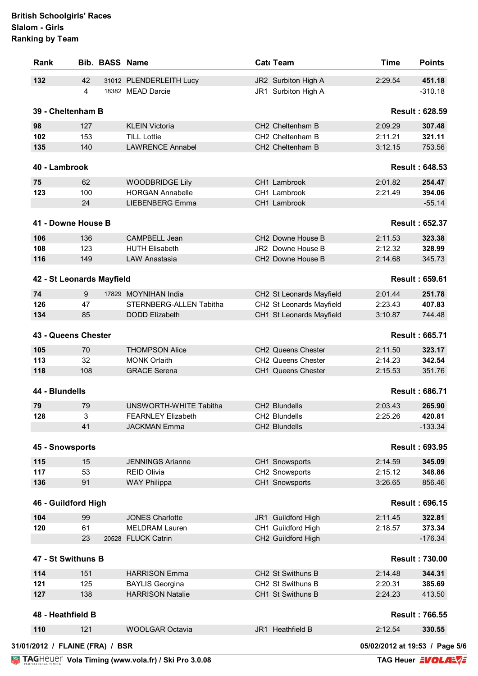| 132<br>42<br>31012 PLENDERLEITH Lucy<br>JR2 Surbiton High A<br>2:29.54<br>$\overline{4}$<br>18382 MEAD Darcie<br>JR1 Surbiton High A<br>39 - Cheltenham B<br><b>Result: 628.59</b><br>98<br>127<br><b>KLEIN Victoria</b><br>CH2 Cheltenham B<br>2:09.29<br>CH2 Cheltenham B<br>102<br>153<br><b>TILL Lottie</b><br>2:11.21<br><b>LAWRENCE Annabel</b><br>135<br>140<br>CH2 Cheltenham B<br>3:12.15<br><b>Result: 648.53</b><br>40 - Lambrook<br>75<br>62<br><b>WOODBRIDGE Lily</b><br>CH1 Lambrook<br>2:01.82<br>123<br>100<br><b>HORGAN Annabelle</b><br>CH1 Lambrook<br>2:21.49<br>24<br><b>LIEBENBERG Emma</b><br>CH1 Lambrook<br>41 - Downe House B<br><b>Result: 652.37</b><br>136<br>CAMPBELL Jean<br>CH2 Downe House B<br>2:11.53<br>106<br>108<br>123<br>JR2 Downe House B<br>2:12.32<br><b>HUTH Elisabeth</b><br>116<br>149<br>CH2 Downe House B<br>2:14.68<br>LAW Anastasia<br>42 - St Leonards Mayfield<br><b>Result: 659.61</b><br>9<br>17829 MOYNIHAN India<br>CH2 St Leonards Mayfield<br>2:01.44<br>47<br>STERNBERG-ALLEN Tabitha<br>CH2 St Leonards Mayfield<br>2:23.43<br>85<br>CH1 St Leonards Mayfield<br>3:10.87<br><b>DODD Elizabeth</b><br><b>Result: 665.71</b><br>70<br><b>THOMPSON Alice</b><br>2:11.50<br>CH2 Queens Chester<br>32<br><b>MONK Orlaith</b><br>CH2 Queens Chester<br>2:14.23<br>108<br><b>GRACE Serena</b><br>CH1 Queens Chester<br>2:15.53<br><b>Result: 686.71</b><br>UNSWORTH-WHITE Tabitha<br>CH2 Blundells<br>79<br>2:03.43<br>3<br>2:25.26<br><b>FEARNLEY Elizabeth</b><br>CH2 Blundells<br>41<br><b>JACKMAN Emma</b><br>CH2 Blundells<br><b>Result: 693.95</b><br>15<br><b>JENNINGS Arianne</b><br>CH1 Snowsports<br>2:14.59<br>53<br>CH2 Snowsports<br>2:15.12<br><b>REID Olivia</b><br>91<br><b>WAY Philippa</b><br>CH1 Snowsports<br>3:26.65<br><b>Result: 696.15</b><br>99<br><b>JONES Charlotte</b><br>JR1 Guildford High<br>2:11.45<br>61<br><b>MELDRAM Lauren</b><br>CH1 Guildford High<br>2:18.57<br>20528 FLUCK Catrin<br>CH2 Guildford High<br>23<br><b>Result: 730.00</b><br>151<br>2:14.48<br><b>HARRISON Emma</b><br>CH <sub>2</sub> St Swithuns B<br>125<br><b>BAYLIS Georgina</b><br>CH2 St Swithuns B<br>2:20.31<br><b>HARRISON Natalie</b><br>CH1 St Swithuns B<br>138<br>2:24.23<br><b>Result: 766.55</b> | <b>Rank</b> | <b>Bib. BASS Name</b> | Cat Team | <b>Time</b> | <b>Points</b> |
|----------------------------------------------------------------------------------------------------------------------------------------------------------------------------------------------------------------------------------------------------------------------------------------------------------------------------------------------------------------------------------------------------------------------------------------------------------------------------------------------------------------------------------------------------------------------------------------------------------------------------------------------------------------------------------------------------------------------------------------------------------------------------------------------------------------------------------------------------------------------------------------------------------------------------------------------------------------------------------------------------------------------------------------------------------------------------------------------------------------------------------------------------------------------------------------------------------------------------------------------------------------------------------------------------------------------------------------------------------------------------------------------------------------------------------------------------------------------------------------------------------------------------------------------------------------------------------------------------------------------------------------------------------------------------------------------------------------------------------------------------------------------------------------------------------------------------------------------------------------------------------------------------------------------------------------------------------------------------------------------------------------------------------------------------------------------------------------------------------------------------------------------------------------------------------------------------------------------------------------------------------------------------|-------------|-----------------------|----------|-------------|---------------|
|                                                                                                                                                                                                                                                                                                                                                                                                                                                                                                                                                                                                                                                                                                                                                                                                                                                                                                                                                                                                                                                                                                                                                                                                                                                                                                                                                                                                                                                                                                                                                                                                                                                                                                                                                                                                                                                                                                                                                                                                                                                                                                                                                                                                                                                                            |             |                       |          |             | 451.18        |
|                                                                                                                                                                                                                                                                                                                                                                                                                                                                                                                                                                                                                                                                                                                                                                                                                                                                                                                                                                                                                                                                                                                                                                                                                                                                                                                                                                                                                                                                                                                                                                                                                                                                                                                                                                                                                                                                                                                                                                                                                                                                                                                                                                                                                                                                            |             |                       |          |             | $-310.18$     |
|                                                                                                                                                                                                                                                                                                                                                                                                                                                                                                                                                                                                                                                                                                                                                                                                                                                                                                                                                                                                                                                                                                                                                                                                                                                                                                                                                                                                                                                                                                                                                                                                                                                                                                                                                                                                                                                                                                                                                                                                                                                                                                                                                                                                                                                                            |             |                       |          |             |               |
|                                                                                                                                                                                                                                                                                                                                                                                                                                                                                                                                                                                                                                                                                                                                                                                                                                                                                                                                                                                                                                                                                                                                                                                                                                                                                                                                                                                                                                                                                                                                                                                                                                                                                                                                                                                                                                                                                                                                                                                                                                                                                                                                                                                                                                                                            |             |                       |          |             | 307.48        |
|                                                                                                                                                                                                                                                                                                                                                                                                                                                                                                                                                                                                                                                                                                                                                                                                                                                                                                                                                                                                                                                                                                                                                                                                                                                                                                                                                                                                                                                                                                                                                                                                                                                                                                                                                                                                                                                                                                                                                                                                                                                                                                                                                                                                                                                                            |             |                       |          |             | 321.11        |
|                                                                                                                                                                                                                                                                                                                                                                                                                                                                                                                                                                                                                                                                                                                                                                                                                                                                                                                                                                                                                                                                                                                                                                                                                                                                                                                                                                                                                                                                                                                                                                                                                                                                                                                                                                                                                                                                                                                                                                                                                                                                                                                                                                                                                                                                            |             |                       |          |             | 753.56        |
|                                                                                                                                                                                                                                                                                                                                                                                                                                                                                                                                                                                                                                                                                                                                                                                                                                                                                                                                                                                                                                                                                                                                                                                                                                                                                                                                                                                                                                                                                                                                                                                                                                                                                                                                                                                                                                                                                                                                                                                                                                                                                                                                                                                                                                                                            |             |                       |          |             |               |
|                                                                                                                                                                                                                                                                                                                                                                                                                                                                                                                                                                                                                                                                                                                                                                                                                                                                                                                                                                                                                                                                                                                                                                                                                                                                                                                                                                                                                                                                                                                                                                                                                                                                                                                                                                                                                                                                                                                                                                                                                                                                                                                                                                                                                                                                            |             |                       |          |             | 254.47        |
|                                                                                                                                                                                                                                                                                                                                                                                                                                                                                                                                                                                                                                                                                                                                                                                                                                                                                                                                                                                                                                                                                                                                                                                                                                                                                                                                                                                                                                                                                                                                                                                                                                                                                                                                                                                                                                                                                                                                                                                                                                                                                                                                                                                                                                                                            |             |                       |          |             | 394.06        |
|                                                                                                                                                                                                                                                                                                                                                                                                                                                                                                                                                                                                                                                                                                                                                                                                                                                                                                                                                                                                                                                                                                                                                                                                                                                                                                                                                                                                                                                                                                                                                                                                                                                                                                                                                                                                                                                                                                                                                                                                                                                                                                                                                                                                                                                                            |             |                       |          |             | $-55.14$      |
|                                                                                                                                                                                                                                                                                                                                                                                                                                                                                                                                                                                                                                                                                                                                                                                                                                                                                                                                                                                                                                                                                                                                                                                                                                                                                                                                                                                                                                                                                                                                                                                                                                                                                                                                                                                                                                                                                                                                                                                                                                                                                                                                                                                                                                                                            |             |                       |          |             |               |
|                                                                                                                                                                                                                                                                                                                                                                                                                                                                                                                                                                                                                                                                                                                                                                                                                                                                                                                                                                                                                                                                                                                                                                                                                                                                                                                                                                                                                                                                                                                                                                                                                                                                                                                                                                                                                                                                                                                                                                                                                                                                                                                                                                                                                                                                            |             |                       |          |             |               |
|                                                                                                                                                                                                                                                                                                                                                                                                                                                                                                                                                                                                                                                                                                                                                                                                                                                                                                                                                                                                                                                                                                                                                                                                                                                                                                                                                                                                                                                                                                                                                                                                                                                                                                                                                                                                                                                                                                                                                                                                                                                                                                                                                                                                                                                                            |             |                       |          |             | 323.38        |
|                                                                                                                                                                                                                                                                                                                                                                                                                                                                                                                                                                                                                                                                                                                                                                                                                                                                                                                                                                                                                                                                                                                                                                                                                                                                                                                                                                                                                                                                                                                                                                                                                                                                                                                                                                                                                                                                                                                                                                                                                                                                                                                                                                                                                                                                            |             |                       |          |             | 328.99        |
|                                                                                                                                                                                                                                                                                                                                                                                                                                                                                                                                                                                                                                                                                                                                                                                                                                                                                                                                                                                                                                                                                                                                                                                                                                                                                                                                                                                                                                                                                                                                                                                                                                                                                                                                                                                                                                                                                                                                                                                                                                                                                                                                                                                                                                                                            |             |                       |          |             | 345.73        |
|                                                                                                                                                                                                                                                                                                                                                                                                                                                                                                                                                                                                                                                                                                                                                                                                                                                                                                                                                                                                                                                                                                                                                                                                                                                                                                                                                                                                                                                                                                                                                                                                                                                                                                                                                                                                                                                                                                                                                                                                                                                                                                                                                                                                                                                                            |             |                       |          |             |               |
| 74                                                                                                                                                                                                                                                                                                                                                                                                                                                                                                                                                                                                                                                                                                                                                                                                                                                                                                                                                                                                                                                                                                                                                                                                                                                                                                                                                                                                                                                                                                                                                                                                                                                                                                                                                                                                                                                                                                                                                                                                                                                                                                                                                                                                                                                                         |             |                       |          |             |               |
| 126<br>134                                                                                                                                                                                                                                                                                                                                                                                                                                                                                                                                                                                                                                                                                                                                                                                                                                                                                                                                                                                                                                                                                                                                                                                                                                                                                                                                                                                                                                                                                                                                                                                                                                                                                                                                                                                                                                                                                                                                                                                                                                                                                                                                                                                                                                                                 |             |                       |          |             | 251.78        |
| 43 - Queens Chester<br>105<br>113<br>118<br>44 - Blundells<br>79<br>128<br>45 - Snowsports<br>115<br>117<br>136                                                                                                                                                                                                                                                                                                                                                                                                                                                                                                                                                                                                                                                                                                                                                                                                                                                                                                                                                                                                                                                                                                                                                                                                                                                                                                                                                                                                                                                                                                                                                                                                                                                                                                                                                                                                                                                                                                                                                                                                                                                                                                                                                            |             |                       |          |             | 407.83        |
|                                                                                                                                                                                                                                                                                                                                                                                                                                                                                                                                                                                                                                                                                                                                                                                                                                                                                                                                                                                                                                                                                                                                                                                                                                                                                                                                                                                                                                                                                                                                                                                                                                                                                                                                                                                                                                                                                                                                                                                                                                                                                                                                                                                                                                                                            |             |                       |          |             | 744.48        |
|                                                                                                                                                                                                                                                                                                                                                                                                                                                                                                                                                                                                                                                                                                                                                                                                                                                                                                                                                                                                                                                                                                                                                                                                                                                                                                                                                                                                                                                                                                                                                                                                                                                                                                                                                                                                                                                                                                                                                                                                                                                                                                                                                                                                                                                                            |             |                       |          |             |               |
|                                                                                                                                                                                                                                                                                                                                                                                                                                                                                                                                                                                                                                                                                                                                                                                                                                                                                                                                                                                                                                                                                                                                                                                                                                                                                                                                                                                                                                                                                                                                                                                                                                                                                                                                                                                                                                                                                                                                                                                                                                                                                                                                                                                                                                                                            |             |                       |          |             | 323.17        |
|                                                                                                                                                                                                                                                                                                                                                                                                                                                                                                                                                                                                                                                                                                                                                                                                                                                                                                                                                                                                                                                                                                                                                                                                                                                                                                                                                                                                                                                                                                                                                                                                                                                                                                                                                                                                                                                                                                                                                                                                                                                                                                                                                                                                                                                                            |             |                       |          |             | 342.54        |
|                                                                                                                                                                                                                                                                                                                                                                                                                                                                                                                                                                                                                                                                                                                                                                                                                                                                                                                                                                                                                                                                                                                                                                                                                                                                                                                                                                                                                                                                                                                                                                                                                                                                                                                                                                                                                                                                                                                                                                                                                                                                                                                                                                                                                                                                            |             |                       |          |             | 351.76        |
|                                                                                                                                                                                                                                                                                                                                                                                                                                                                                                                                                                                                                                                                                                                                                                                                                                                                                                                                                                                                                                                                                                                                                                                                                                                                                                                                                                                                                                                                                                                                                                                                                                                                                                                                                                                                                                                                                                                                                                                                                                                                                                                                                                                                                                                                            |             |                       |          |             |               |
|                                                                                                                                                                                                                                                                                                                                                                                                                                                                                                                                                                                                                                                                                                                                                                                                                                                                                                                                                                                                                                                                                                                                                                                                                                                                                                                                                                                                                                                                                                                                                                                                                                                                                                                                                                                                                                                                                                                                                                                                                                                                                                                                                                                                                                                                            |             |                       |          |             | 265.90        |
|                                                                                                                                                                                                                                                                                                                                                                                                                                                                                                                                                                                                                                                                                                                                                                                                                                                                                                                                                                                                                                                                                                                                                                                                                                                                                                                                                                                                                                                                                                                                                                                                                                                                                                                                                                                                                                                                                                                                                                                                                                                                                                                                                                                                                                                                            |             |                       |          |             | 420.81        |
|                                                                                                                                                                                                                                                                                                                                                                                                                                                                                                                                                                                                                                                                                                                                                                                                                                                                                                                                                                                                                                                                                                                                                                                                                                                                                                                                                                                                                                                                                                                                                                                                                                                                                                                                                                                                                                                                                                                                                                                                                                                                                                                                                                                                                                                                            |             |                       |          |             | $-133.34$     |
|                                                                                                                                                                                                                                                                                                                                                                                                                                                                                                                                                                                                                                                                                                                                                                                                                                                                                                                                                                                                                                                                                                                                                                                                                                                                                                                                                                                                                                                                                                                                                                                                                                                                                                                                                                                                                                                                                                                                                                                                                                                                                                                                                                                                                                                                            |             |                       |          |             |               |
|                                                                                                                                                                                                                                                                                                                                                                                                                                                                                                                                                                                                                                                                                                                                                                                                                                                                                                                                                                                                                                                                                                                                                                                                                                                                                                                                                                                                                                                                                                                                                                                                                                                                                                                                                                                                                                                                                                                                                                                                                                                                                                                                                                                                                                                                            |             |                       |          |             |               |
|                                                                                                                                                                                                                                                                                                                                                                                                                                                                                                                                                                                                                                                                                                                                                                                                                                                                                                                                                                                                                                                                                                                                                                                                                                                                                                                                                                                                                                                                                                                                                                                                                                                                                                                                                                                                                                                                                                                                                                                                                                                                                                                                                                                                                                                                            |             |                       |          |             | 345.09        |
| 46 - Guildford High<br>104<br>120                                                                                                                                                                                                                                                                                                                                                                                                                                                                                                                                                                                                                                                                                                                                                                                                                                                                                                                                                                                                                                                                                                                                                                                                                                                                                                                                                                                                                                                                                                                                                                                                                                                                                                                                                                                                                                                                                                                                                                                                                                                                                                                                                                                                                                          |             |                       |          |             | 348.86        |
|                                                                                                                                                                                                                                                                                                                                                                                                                                                                                                                                                                                                                                                                                                                                                                                                                                                                                                                                                                                                                                                                                                                                                                                                                                                                                                                                                                                                                                                                                                                                                                                                                                                                                                                                                                                                                                                                                                                                                                                                                                                                                                                                                                                                                                                                            |             |                       |          |             | 856.46        |
|                                                                                                                                                                                                                                                                                                                                                                                                                                                                                                                                                                                                                                                                                                                                                                                                                                                                                                                                                                                                                                                                                                                                                                                                                                                                                                                                                                                                                                                                                                                                                                                                                                                                                                                                                                                                                                                                                                                                                                                                                                                                                                                                                                                                                                                                            |             |                       |          |             |               |
|                                                                                                                                                                                                                                                                                                                                                                                                                                                                                                                                                                                                                                                                                                                                                                                                                                                                                                                                                                                                                                                                                                                                                                                                                                                                                                                                                                                                                                                                                                                                                                                                                                                                                                                                                                                                                                                                                                                                                                                                                                                                                                                                                                                                                                                                            |             |                       |          |             | 322.81        |
| 47 - St Swithuns B<br>114<br>121<br>127<br>48 - Heathfield B                                                                                                                                                                                                                                                                                                                                                                                                                                                                                                                                                                                                                                                                                                                                                                                                                                                                                                                                                                                                                                                                                                                                                                                                                                                                                                                                                                                                                                                                                                                                                                                                                                                                                                                                                                                                                                                                                                                                                                                                                                                                                                                                                                                                               |             |                       |          |             | 373.34        |
|                                                                                                                                                                                                                                                                                                                                                                                                                                                                                                                                                                                                                                                                                                                                                                                                                                                                                                                                                                                                                                                                                                                                                                                                                                                                                                                                                                                                                                                                                                                                                                                                                                                                                                                                                                                                                                                                                                                                                                                                                                                                                                                                                                                                                                                                            |             |                       |          |             | $-176.34$     |
|                                                                                                                                                                                                                                                                                                                                                                                                                                                                                                                                                                                                                                                                                                                                                                                                                                                                                                                                                                                                                                                                                                                                                                                                                                                                                                                                                                                                                                                                                                                                                                                                                                                                                                                                                                                                                                                                                                                                                                                                                                                                                                                                                                                                                                                                            |             |                       |          |             |               |
|                                                                                                                                                                                                                                                                                                                                                                                                                                                                                                                                                                                                                                                                                                                                                                                                                                                                                                                                                                                                                                                                                                                                                                                                                                                                                                                                                                                                                                                                                                                                                                                                                                                                                                                                                                                                                                                                                                                                                                                                                                                                                                                                                                                                                                                                            |             |                       |          |             | 344.31        |
|                                                                                                                                                                                                                                                                                                                                                                                                                                                                                                                                                                                                                                                                                                                                                                                                                                                                                                                                                                                                                                                                                                                                                                                                                                                                                                                                                                                                                                                                                                                                                                                                                                                                                                                                                                                                                                                                                                                                                                                                                                                                                                                                                                                                                                                                            |             |                       |          |             | 385.69        |
|                                                                                                                                                                                                                                                                                                                                                                                                                                                                                                                                                                                                                                                                                                                                                                                                                                                                                                                                                                                                                                                                                                                                                                                                                                                                                                                                                                                                                                                                                                                                                                                                                                                                                                                                                                                                                                                                                                                                                                                                                                                                                                                                                                                                                                                                            |             |                       |          |             | 413.50        |
|                                                                                                                                                                                                                                                                                                                                                                                                                                                                                                                                                                                                                                                                                                                                                                                                                                                                                                                                                                                                                                                                                                                                                                                                                                                                                                                                                                                                                                                                                                                                                                                                                                                                                                                                                                                                                                                                                                                                                                                                                                                                                                                                                                                                                                                                            |             |                       |          |             |               |
| 110<br>121<br>JR1 Heathfield B<br>2:12.54<br><b>WOOLGAR Octavia</b>                                                                                                                                                                                                                                                                                                                                                                                                                                                                                                                                                                                                                                                                                                                                                                                                                                                                                                                                                                                                                                                                                                                                                                                                                                                                                                                                                                                                                                                                                                                                                                                                                                                                                                                                                                                                                                                                                                                                                                                                                                                                                                                                                                                                        |             |                       |          |             | 330.55        |
| 31/01/2012 / FLAINE (FRA) / BSR<br>05/02/2012 at 19:53 / Page 5/6                                                                                                                                                                                                                                                                                                                                                                                                                                                                                                                                                                                                                                                                                                                                                                                                                                                                                                                                                                                                                                                                                                                                                                                                                                                                                                                                                                                                                                                                                                                                                                                                                                                                                                                                                                                                                                                                                                                                                                                                                                                                                                                                                                                                          |             |                       |          |             |               |